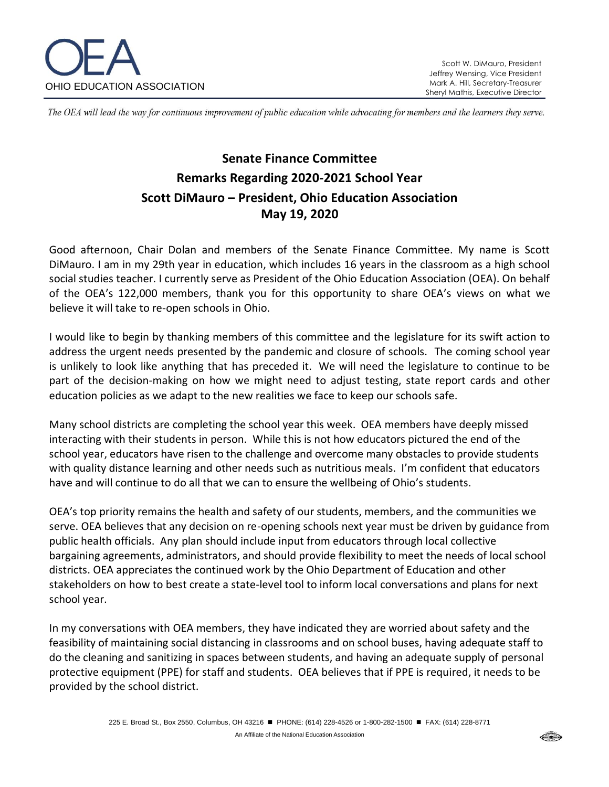

The OEA will lead the way for continuous improvement of public education while advocating for members and the learners they serve.

## **Senate Finance Committee Remarks Regarding 2020-2021 School Year Scott DiMauro – President, Ohio Education Association May 19, 2020**

Good afternoon, Chair Dolan and members of the Senate Finance Committee. My name is Scott DiMauro. I am in my 29th year in education, which includes 16 years in the classroom as a high school social studies teacher. I currently serve as President of the Ohio Education Association (OEA). On behalf of the OEA's 122,000 members, thank you for this opportunity to share OEA's views on what we believe it will take to re-open schools in Ohio.

I would like to begin by thanking members of this committee and the legislature for its swift action to address the urgent needs presented by the pandemic and closure of schools. The coming school year is unlikely to look like anything that has preceded it. We will need the legislature to continue to be part of the decision-making on how we might need to adjust testing, state report cards and other education policies as we adapt to the new realities we face to keep our schools safe.

Many school districts are completing the school year this week. OEA members have deeply missed interacting with their students in person. While this is not how educators pictured the end of the school year, educators have risen to the challenge and overcome many obstacles to provide students with quality distance learning and other needs such as nutritious meals. I'm confident that educators have and will continue to do all that we can to ensure the wellbeing of Ohio's students.

OEA's top priority remains the health and safety of our students, members, and the communities we serve. OEA believes that any decision on re-opening schools next year must be driven by guidance from public health officials. Any plan should include input from educators through local collective bargaining agreements, administrators, and should provide flexibility to meet the needs of local school districts. OEA appreciates the continued work by the Ohio Department of Education and other stakeholders on how to best create a state-level tool to inform local conversations and plans for next school year.

In my conversations with OEA members, they have indicated they are worried about safety and the feasibility of maintaining social distancing in classrooms and on school buses, having adequate staff to do the cleaning and sanitizing in spaces between students, and having an adequate supply of personal protective equipment (PPE) for staff and students. OEA believes that if PPE is required, it needs to be provided by the school district.